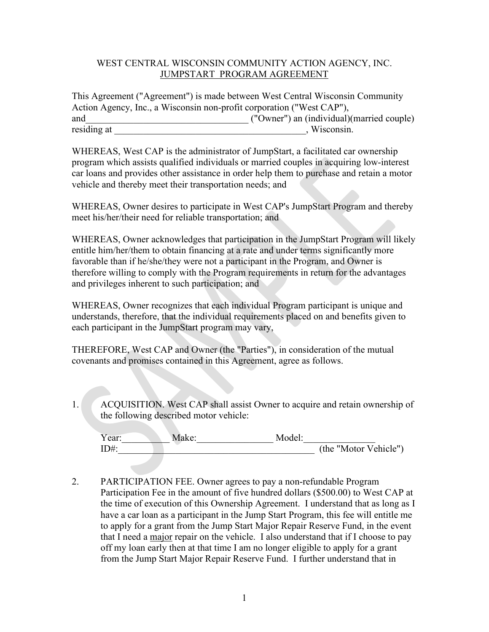## WEST CENTRAL WISCONSIN COMMUNITY ACTION AGENCY, INC. JUMPSTART PROGRAM AGREEMENT

This Agreement ("Agreement") is made between West Central Wisconsin Community Action Agency, Inc., a Wisconsin non-profit corporation ("West CAP"), and\_\_\_\_\_\_\_\_\_\_\_\_\_\_\_\_\_\_\_\_\_\_\_\_\_\_\_\_\_\_\_\_\_\_ ("Owner") an (individual)(married couple) residing at with the set of the set of the set of the set of the set of the set of the set of the set of the set of the set of the set of the set of the set of the set of the set of the set of the set of the set of the set

WHEREAS, West CAP is the administrator of JumpStart, a facilitated car ownership program which assists qualified individuals or married couples in acquiring low-interest car loans and provides other assistance in order help them to purchase and retain a motor vehicle and thereby meet their transportation needs; and

WHEREAS, Owner desires to participate in West CAP's JumpStart Program and thereby meet his/her/their need for reliable transportation; and

WHEREAS, Owner acknowledges that participation in the JumpStart Program will likely entitle him/her/them to obtain financing at a rate and under terms significantly more favorable than if he/she/they were not a participant in the Program, and Owner is therefore willing to comply with the Program requirements in return for the advantages and privileges inherent to such participation; and

WHEREAS, Owner recognizes that each individual Program participant is unique and understands, therefore, that the individual requirements placed on and benefits given to each participant in the JumpStart program may vary,

THEREFORE, West CAP and Owner (the "Parties"), in consideration of the mutual covenants and promises contained in this Agreement, agree as follows.

1. ACQUISITION. West CAP shall assist Owner to acquire and retain ownership of the following described motor vehicle:

| Year:   | Make: | Model: |                       |
|---------|-------|--------|-----------------------|
| $ID#$ : |       |        | (the "Motor Vehicle") |

2. PARTICIPATION FEE. Owner agrees to pay a non-refundable Program Participation Fee in the amount of five hundred dollars (\$500.00) to West CAP at the time of execution of this Ownership Agreement. I understand that as long as I have a car loan as a participant in the Jump Start Program, this fee will entitle me to apply for a grant from the Jump Start Major Repair Reserve Fund, in the event that I need a major repair on the vehicle. I also understand that if I choose to pay off my loan early then at that time I am no longer eligible to apply for a grant from the Jump Start Major Repair Reserve Fund. I further understand that in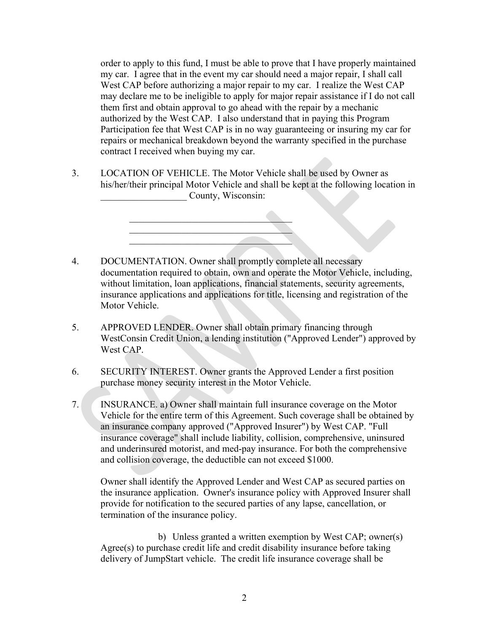order to apply to this fund, I must be able to prove that I have properly maintained my car. I agree that in the event my car should need a major repair, I shall call West CAP before authorizing a major repair to my car. I realize the West CAP may declare me to be ineligible to apply for major repair assistance if I do not call them first and obtain approval to go ahead with the repair by a mechanic authorized by the West CAP. I also understand that in paying this Program Participation fee that West CAP is in no way guaranteeing or insuring my car for repairs or mechanical breakdown beyond the warranty specified in the purchase contract I received when buying my car.

3. LOCATION OF VEHICLE. The Motor Vehicle shall be used by Owner as his/her/their principal Motor Vehicle and shall be kept at the following location in County, Wisconsin:

> $\mathcal{L}_\text{max}$  , and the contract of the contract of  $\mathcal{L}_\text{max}$  $\mathcal{L}_\text{max}$  , and the set of the set of the set of the set of the set of the set of the set of the set of the set of the set of the set of the set of the set of the set of the set of the set of the set of the set of the  $\mathcal{L}=\mathcal{L}=\mathcal{L}=\mathcal{L}=\mathcal{L}=\mathcal{L}=\mathcal{L}=\mathcal{L}=\mathcal{L}=\mathcal{L}=\mathcal{L}=\mathcal{L}=\mathcal{L}=\mathcal{L}=\mathcal{L}=\mathcal{L}=\mathcal{L}=\mathcal{L}=\mathcal{L}=\mathcal{L}=\mathcal{L}=\mathcal{L}=\mathcal{L}=\mathcal{L}=\mathcal{L}=\mathcal{L}=\mathcal{L}=\mathcal{L}=\mathcal{L}=\mathcal{L}=\mathcal{L}=\mathcal{L}=\mathcal{L}=\mathcal{L}=\mathcal{L}=\mathcal{L}=\mathcal{$

- 4. DOCUMENTATION. Owner shall promptly complete all necessary documentation required to obtain, own and operate the Motor Vehicle, including, without limitation, loan applications, financial statements, security agreements, insurance applications and applications for title, licensing and registration of the Motor Vehicle.
- 5. APPROVED LENDER. Owner shall obtain primary financing through WestConsin Credit Union, a lending institution ("Approved Lender") approved by West CAP.
- 6. SECURITY INTEREST. Owner grants the Approved Lender a first position purchase money security interest in the Motor Vehicle.
- 7. INSURANCE. a) Owner shall maintain full insurance coverage on the Motor Vehicle for the entire term of this Agreement. Such coverage shall be obtained by an insurance company approved ("Approved Insurer") by West CAP. "Full insurance coverage" shall include liability, collision, comprehensive, uninsured and underinsured motorist, and med-pay insurance. For both the comprehensive and collision coverage, the deductible can not exceed \$1000.

Owner shall identify the Approved Lender and West CAP as secured parties on the insurance application. Owner's insurance policy with Approved Insurer shall provide for notification to the secured parties of any lapse, cancellation, or termination of the insurance policy.

b) Unless granted a written exemption by West CAP; owner(s) Agree(s) to purchase credit life and credit disability insurance before taking delivery of JumpStart vehicle. The credit life insurance coverage shall be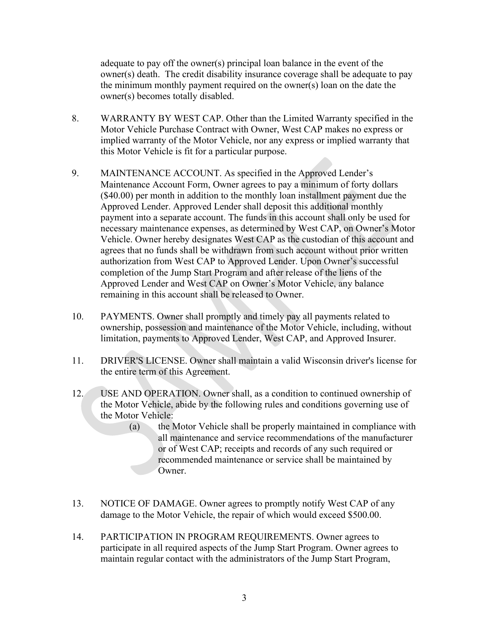adequate to pay off the owner(s) principal loan balance in the event of the owner(s) death. The credit disability insurance coverage shall be adequate to pay the minimum monthly payment required on the owner(s) loan on the date the owner(s) becomes totally disabled.

- 8. WARRANTY BY WEST CAP. Other than the Limited Warranty specified in the Motor Vehicle Purchase Contract with Owner, West CAP makes no express or implied warranty of the Motor Vehicle, nor any express or implied warranty that this Motor Vehicle is fit for a particular purpose.
- 9. MAINTENANCE ACCOUNT. As specified in the Approved Lender's Maintenance Account Form, Owner agrees to pay a minimum of forty dollars (\$40.00) per month in addition to the monthly loan installment payment due the Approved Lender. Approved Lender shall deposit this additional monthly payment into a separate account. The funds in this account shall only be used for necessary maintenance expenses, as determined by West CAP, on Owner's Motor Vehicle. Owner hereby designates West CAP as the custodian of this account and agrees that no funds shall be withdrawn from such account without prior written authorization from West CAP to Approved Lender. Upon Owner's successful completion of the Jump Start Program and after release of the liens of the Approved Lender and West CAP on Owner's Motor Vehicle, any balance remaining in this account shall be released to Owner.
- 10. PAYMENTS. Owner shall promptly and timely pay all payments related to ownership, possession and maintenance of the Motor Vehicle, including, without limitation, payments to Approved Lender, West CAP, and Approved Insurer.
- 11. DRIVER'S LICENSE. Owner shall maintain a valid Wisconsin driver's license for the entire term of this Agreement.
- 12. USE AND OPERATION. Owner shall, as a condition to continued ownership of the Motor Vehicle, abide by the following rules and conditions governing use of the Motor Vehicle:
	- (a) the Motor Vehicle shall be properly maintained in compliance with all maintenance and service recommendations of the manufacturer or of West CAP; receipts and records of any such required or recommended maintenance or service shall be maintained by Owner.
- 13. NOTICE OF DAMAGE. Owner agrees to promptly notify West CAP of any damage to the Motor Vehicle, the repair of which would exceed \$500.00.
- 14. PARTICIPATION IN PROGRAM REQUIREMENTS. Owner agrees to participate in all required aspects of the Jump Start Program. Owner agrees to maintain regular contact with the administrators of the Jump Start Program,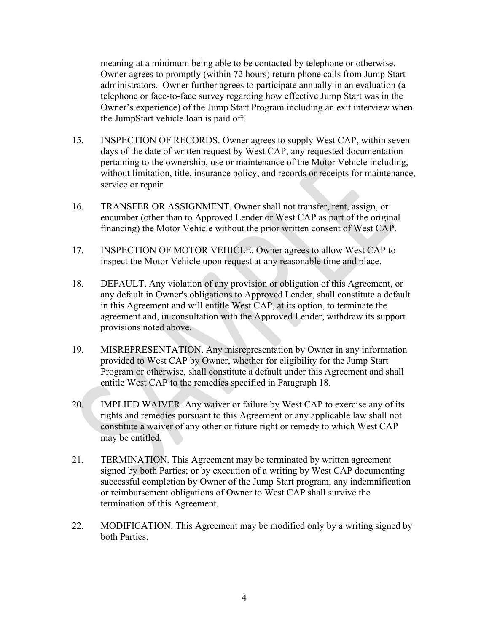meaning at a minimum being able to be contacted by telephone or otherwise. Owner agrees to promptly (within 72 hours) return phone calls from Jump Start administrators. Owner further agrees to participate annually in an evaluation (a telephone or face-to-face survey regarding how effective Jump Start was in the Owner's experience) of the Jump Start Program including an exit interview when the JumpStart vehicle loan is paid off.

- 15. INSPECTION OF RECORDS. Owner agrees to supply West CAP, within seven days of the date of written request by West CAP, any requested documentation pertaining to the ownership, use or maintenance of the Motor Vehicle including, without limitation, title, insurance policy, and records or receipts for maintenance, service or repair.
- 16. TRANSFER OR ASSIGNMENT. Owner shall not transfer, rent, assign, or encumber (other than to Approved Lender or West CAP as part of the original financing) the Motor Vehicle without the prior written consent of West CAP.
- 17. INSPECTION OF MOTOR VEHICLE. Owner agrees to allow West CAP to inspect the Motor Vehicle upon request at any reasonable time and place.
- 18. DEFAULT. Any violation of any provision or obligation of this Agreement, or any default in Owner's obligations to Approved Lender, shall constitute a default in this Agreement and will entitle West CAP, at its option, to terminate the agreement and, in consultation with the Approved Lender, withdraw its support provisions noted above.
- 19. MISREPRESENTATION. Any misrepresentation by Owner in any information provided to West CAP by Owner, whether for eligibility for the Jump Start Program or otherwise, shall constitute a default under this Agreement and shall entitle West CAP to the remedies specified in Paragraph 18.
- 20. IMPLIED WAIVER. Any waiver or failure by West CAP to exercise any of its rights and remedies pursuant to this Agreement or any applicable law shall not constitute a waiver of any other or future right or remedy to which West CAP may be entitled.
- 21. TERMINATION. This Agreement may be terminated by written agreement signed by both Parties; or by execution of a writing by West CAP documenting successful completion by Owner of the Jump Start program; any indemnification or reimbursement obligations of Owner to West CAP shall survive the termination of this Agreement.
- 22. MODIFICATION. This Agreement may be modified only by a writing signed by both Parties.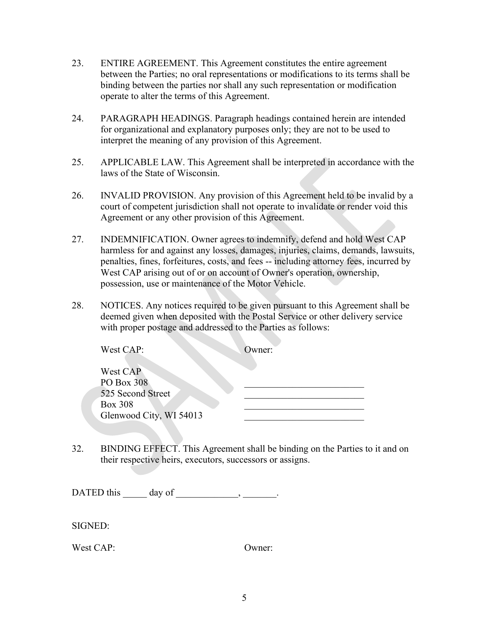- 23. ENTIRE AGREEMENT. This Agreement constitutes the entire agreement between the Parties; no oral representations or modifications to its terms shall be binding between the parties nor shall any such representation or modification operate to alter the terms of this Agreement.
- 24. PARAGRAPH HEADINGS. Paragraph headings contained herein are intended for organizational and explanatory purposes only; they are not to be used to interpret the meaning of any provision of this Agreement.
- 25. APPLICABLE LAW. This Agreement shall be interpreted in accordance with the laws of the State of Wisconsin.
- 26. INVALID PROVISION. Any provision of this Agreement held to be invalid by a court of competent jurisdiction shall not operate to invalidate or render void this Agreement or any other provision of this Agreement.
- 27. INDEMNIFICATION. Owner agrees to indemnify, defend and hold West CAP harmless for and against any losses, damages, injuries, claims, demands, lawsuits, penalties, fines, forfeitures, costs, and fees -- including attorney fees, incurred by West CAP arising out of or on account of Owner's operation, ownership, possession, use or maintenance of the Motor Vehicle.
- 28. NOTICES. Any notices required to be given pursuant to this Agreement shall be deemed given when deposited with the Postal Service or other delivery service with proper postage and addressed to the Parties as follows:

| West CAP:<br>Owner:     |  |
|-------------------------|--|
| West CAP<br>PO Box 308  |  |
| 525 Second Street       |  |
| <b>Box 308</b>          |  |
| Glenwood City, WI 54013 |  |

32. BINDING EFFECT. This Agreement shall be binding on the Parties to it and on their respective heirs, executors, successors or assigns.

DATED this  $\_\_\_\_\_\_\$  day of  $\_\_\_\_\_\_\_\_\_\_\_\_\$ 

SIGNED:

West CAP: Owner: